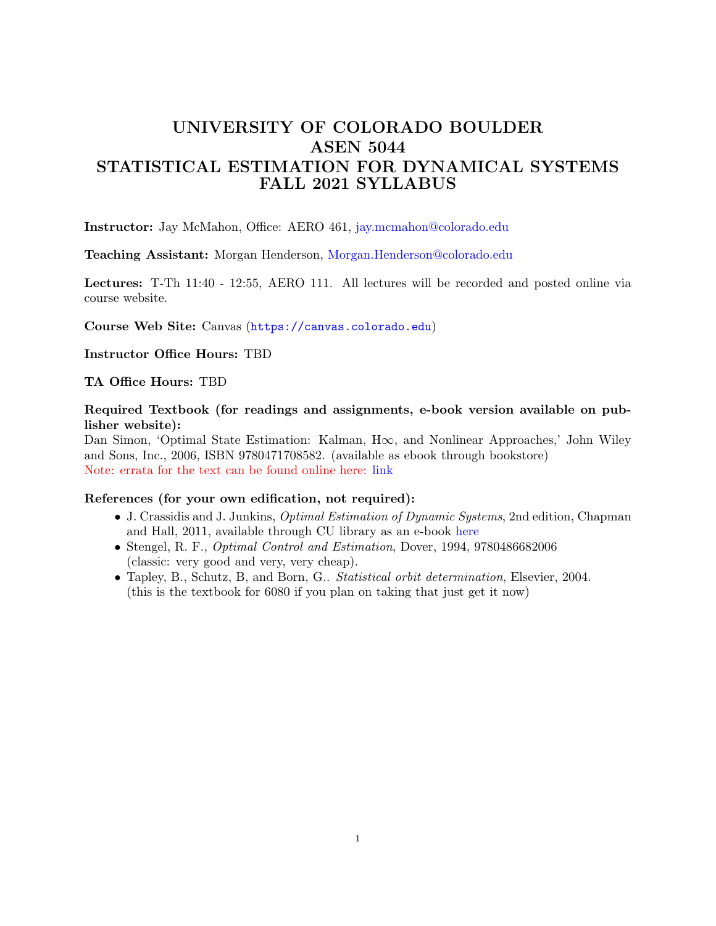# UNIVERSITY OF COLORADO BOULDER ASEN 5044 STATISTICAL ESTIMATION FOR DYNAMICAL SYSTEMS FALL 2021 SYLLABUS

Instructor: Jay McMahon, Office: AERO 461, [jay.mcmahon@colorado.edu](mailto:jay.mcmahon@colorado.edu)

Teaching Assistant: Morgan Henderson, [Morgan.Henderson@colorado.edu](mailto:Morgan.Henderson@colorado.edu)

Lectures: T-Th 11:40 - 12:55, AERO 111. All lectures will be recorded and posted online via course website.

Course Web Site: Canvas (<https://canvas.colorado.edu>)

Instructor Office Hours: TBD

TA Office Hours: TBD

Required Textbook (for readings and assignments, e-book version available on publisher website):

Dan Simon, 'Optimal State Estimation: Kalman, H∞, and Nonlinear Approaches,' John Wiley and Sons, Inc., 2006, ISBN 9780471708582. (available as ebook through bookstore) Note: errata for the text can be found online here: [link](http://academic.csuohio.edu/simond/estimation/errata.pdf)

#### References (for your own edification, not required):

- J. Crassidis and J. Junkins, Optimal Estimation of Dynamic Systems, 2nd edition, Chapman and Hall, 2011, available through CU library as an e-book [here](https://ebookcentral.proquest.com/lib/ucb/detail.action?docID=800953)
- Stengel, R. F., Optimal Control and Estimation, Dover, 1994, 9780486682006 (classic: very good and very, very cheap).
- Tapley, B., Schutz, B, and Born, G.. Statistical orbit determination, Elsevier, 2004. (this is the textbook for 6080 if you plan on taking that just get it now)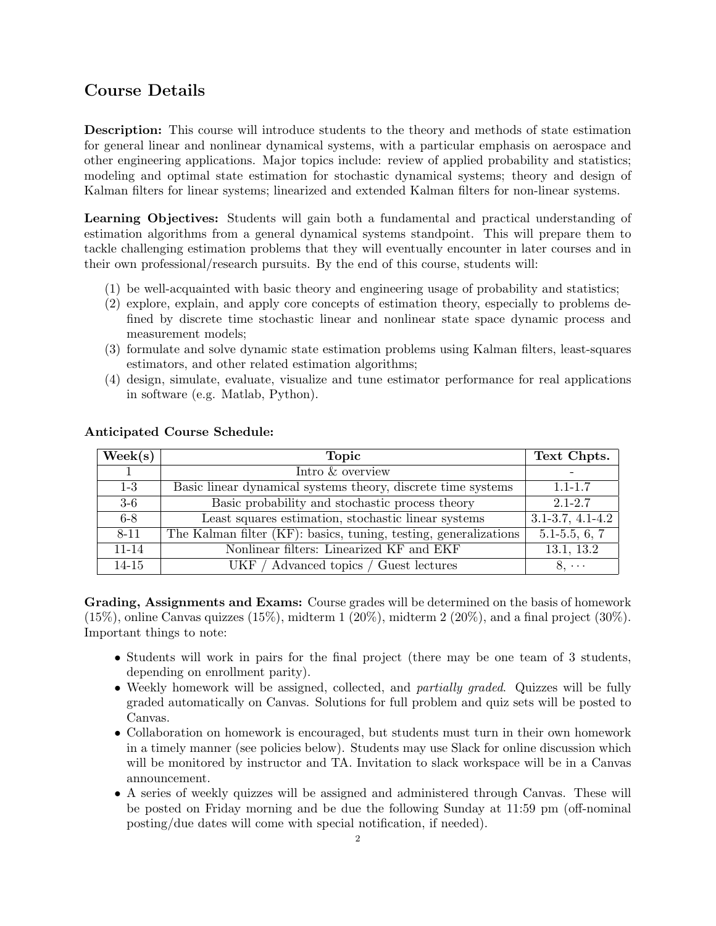## Course Details

Description: This course will introduce students to the theory and methods of state estimation for general linear and nonlinear dynamical systems, with a particular emphasis on aerospace and other engineering applications. Major topics include: review of applied probability and statistics; modeling and optimal state estimation for stochastic dynamical systems; theory and design of Kalman filters for linear systems; linearized and extended Kalman filters for non-linear systems.

Learning Objectives: Students will gain both a fundamental and practical understanding of estimation algorithms from a general dynamical systems standpoint. This will prepare them to tackle challenging estimation problems that they will eventually encounter in later courses and in their own professional/research pursuits. By the end of this course, students will:

- (1) be well-acquainted with basic theory and engineering usage of probability and statistics;
- (2) explore, explain, and apply core concepts of estimation theory, especially to problems defined by discrete time stochastic linear and nonlinear state space dynamic process and measurement models;
- (3) formulate and solve dynamic state estimation problems using Kalman filters, least-squares estimators, and other related estimation algorithms;
- (4) design, simulate, evaluate, visualize and tune estimator performance for real applications in software (e.g. Matlab, Python).

| $\text{Week}(s)$ | <b>Topic</b>                                                     | Text Chpts.            |
|------------------|------------------------------------------------------------------|------------------------|
|                  | Intro & overview                                                 |                        |
| $1-3$            | Basic linear dynamical systems theory, discrete time systems     | $1.1 - 1.7$            |
| $3-6$            | Basic probability and stochastic process theory                  | $2.1 - 2.7$            |
| $6-8$            | Least squares estimation, stochastic linear systems              | $3.1 - 3.7, 4.1 - 4.2$ |
| $8 - 11$         | The Kalman filter (KF): basics, tuning, testing, generalizations | $5.1 - 5.5, 6, 7$      |
| $11 - 14$        | Nonlinear filters: Linearized KF and EKF                         | 13.1, 13.2             |
| $14 - 15$        | UKF / Advanced topics / Guest lectures                           | $8, \cdots$            |

### Anticipated Course Schedule:

Grading, Assignments and Exams: Course grades will be determined on the basis of homework  $(15\%)$ , online Canvas quizzes  $(15\%)$ , midterm  $1 (20\%)$ , midterm  $2 (20\%)$ , and a final project  $(30\%)$ . Important things to note:

- Students will work in pairs for the final project (there may be one team of 3 students, depending on enrollment parity).
- Weekly homework will be assigned, collected, and *partially graded*. Quizzes will be fully graded automatically on Canvas. Solutions for full problem and quiz sets will be posted to Canvas.
- Collaboration on homework is encouraged, but students must turn in their own homework in a timely manner (see policies below). Students may use Slack for online discussion which will be monitored by instructor and TA. Invitation to slack workspace will be in a Canvas announcement.
- A series of weekly quizzes will be assigned and administered through Canvas. These will be posted on Friday morning and be due the following Sunday at 11:59 pm (off-nominal posting/due dates will come with special notification, if needed).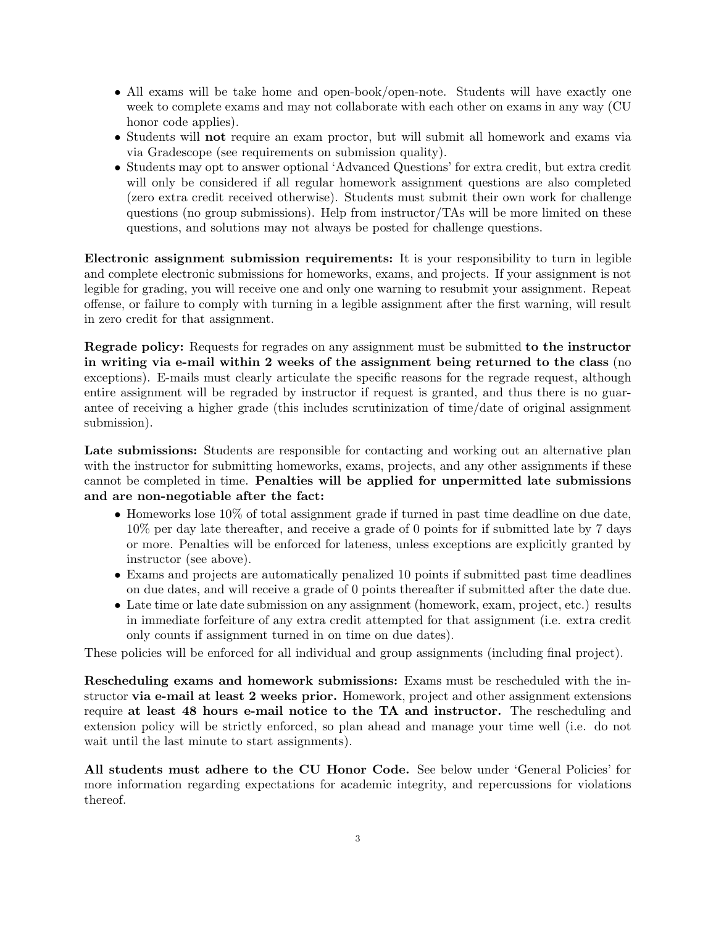- All exams will be take home and open-book/open-note. Students will have exactly one week to complete exams and may not collaborate with each other on exams in any way (CU honor code applies).
- Students will not require an exam proctor, but will submit all homework and exams via via Gradescope (see requirements on submission quality).
- Students may opt to answer optional 'Advanced Questions' for extra credit, but extra credit will only be considered if all regular homework assignment questions are also completed (zero extra credit received otherwise). Students must submit their own work for challenge questions (no group submissions). Help from instructor/TAs will be more limited on these questions, and solutions may not always be posted for challenge questions.

Electronic assignment submission requirements: It is your responsibility to turn in legible and complete electronic submissions for homeworks, exams, and projects. If your assignment is not legible for grading, you will receive one and only one warning to resubmit your assignment. Repeat offense, or failure to comply with turning in a legible assignment after the first warning, will result in zero credit for that assignment.

Regrade policy: Requests for regrades on any assignment must be submitted to the instructor in writing via e-mail within 2 weeks of the assignment being returned to the class (no exceptions). E-mails must clearly articulate the specific reasons for the regrade request, although entire assignment will be regraded by instructor if request is granted, and thus there is no guarantee of receiving a higher grade (this includes scrutinization of time/date of original assignment submission).

Late submissions: Students are responsible for contacting and working out an alternative plan with the instructor for submitting homeworks, exams, projects, and any other assignments if these cannot be completed in time. Penalties will be applied for unpermitted late submissions and are non-negotiable after the fact:

- Homeworks lose 10% of total assignment grade if turned in past time deadline on due date, 10% per day late thereafter, and receive a grade of 0 points for if submitted late by 7 days or more. Penalties will be enforced for lateness, unless exceptions are explicitly granted by instructor (see above).
- Exams and projects are automatically penalized 10 points if submitted past time deadlines on due dates, and will receive a grade of 0 points thereafter if submitted after the date due.
- Late time or late date submission on any assignment (homework, exam, project, etc.) results in immediate forfeiture of any extra credit attempted for that assignment (i.e. extra credit only counts if assignment turned in on time on due dates).

These policies will be enforced for all individual and group assignments (including final project).

Rescheduling exams and homework submissions: Exams must be rescheduled with the instructor via e-mail at least 2 weeks prior. Homework, project and other assignment extensions require at least 48 hours e-mail notice to the TA and instructor. The rescheduling and extension policy will be strictly enforced, so plan ahead and manage your time well (i.e. do not wait until the last minute to start assignments).

All students must adhere to the CU Honor Code. See below under 'General Policies' for more information regarding expectations for academic integrity, and repercussions for violations thereof.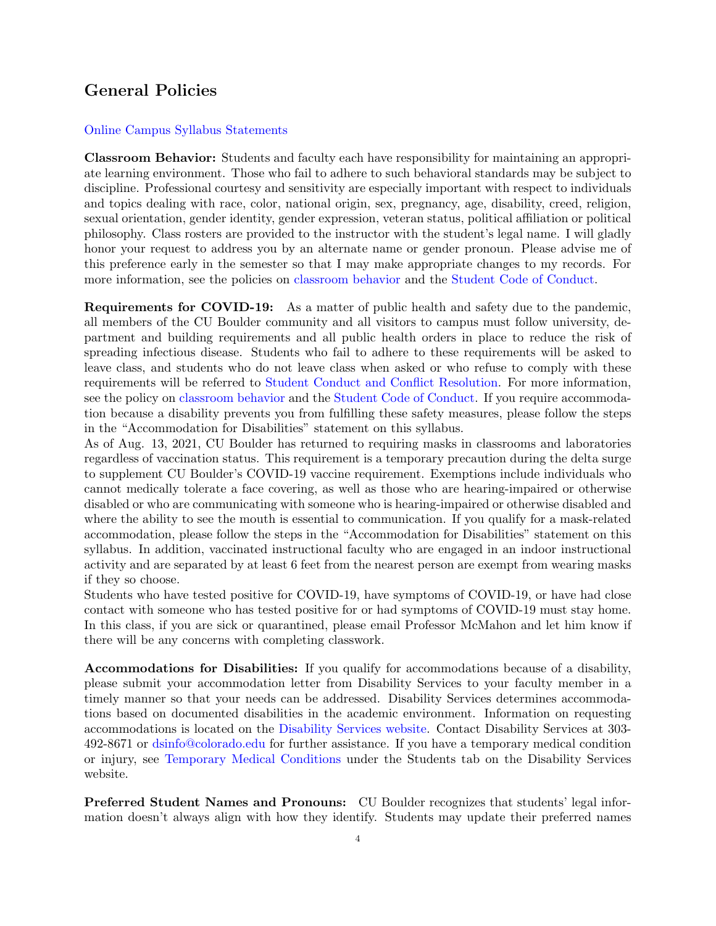### General Policies

#### [Online Campus Syllabus Statements](https://www.colorado.edu/academicaffairs/policies-customs-guidelines/required-syllabus-statements)

Classroom Behavior: Students and faculty each have responsibility for maintaining an appropriate learning environment. Those who fail to adhere to such behavioral standards may be subject to discipline. Professional courtesy and sensitivity are especially important with respect to individuals and topics dealing with race, color, national origin, sex, pregnancy, age, disability, creed, religion, sexual orientation, gender identity, gender expression, veteran status, political affiliation or political philosophy. Class rosters are provided to the instructor with the student's legal name. I will gladly honor your request to address you by an alternate name or gender pronoun. Please advise me of this preference early in the semester so that I may make appropriate changes to my records. For more information, see the policies on [classroom behavior](http://www.colorado.edu/policies/student-classroom-and-course-related-behavior) and the [Student Code of Conduct.](http://www.colorado.edu/sccr/student-conduct)

Requirements for COVID-19: As a matter of public health and safety due to the pandemic, all members of the CU Boulder community and all visitors to campus must follow university, department and building requirements and all public health orders in place to reduce the risk of spreading infectious disease. Students who fail to adhere to these requirements will be asked to leave class, and students who do not leave class when asked or who refuse to comply with these requirements will be referred to [Student Conduct and Conflict Resolution.](https://www.colorado.edu/sccr/) For more information, see the policy on [classroom behavior](http://www.colorado.edu/policies/student-classroom-and-course-related-behavior) and the [Student Code of Conduct.](http://www.colorado.edu/osccr/) If you require accommodation because a disability prevents you from fulfilling these safety measures, please follow the steps in the "Accommodation for Disabilities" statement on this syllabus.

As of Aug. 13, 2021, CU Boulder has returned to requiring masks in classrooms and laboratories regardless of vaccination status. This requirement is a temporary precaution during the delta surge to supplement CU Boulder's COVID-19 vaccine requirement. Exemptions include individuals who cannot medically tolerate a face covering, as well as those who are hearing-impaired or otherwise disabled or who are communicating with someone who is hearing-impaired or otherwise disabled and where the ability to see the mouth is essential to communication. If you qualify for a mask-related accommodation, please follow the steps in the "Accommodation for Disabilities" statement on this syllabus. In addition, vaccinated instructional faculty who are engaged in an indoor instructional activity and are separated by at least 6 feet from the nearest person are exempt from wearing masks if they so choose.

Students who have tested positive for COVID-19, have symptoms of COVID-19, or have had close contact with someone who has tested positive for or had symptoms of COVID-19 must stay home. In this class, if you are sick or quarantined, please email Professor McMahon and let him know if there will be any concerns with completing classwork.

Accommodations for Disabilities: If you qualify for accommodations because of a disability, please submit your accommodation letter from Disability Services to your faculty member in a timely manner so that your needs can be addressed. Disability Services determines accommodations based on documented disabilities in the academic environment. Information on requesting accommodations is located on the [Disability Services website.](http://www.colorado.edu/disabilityservices/) Contact Disability Services at 303- 492-8671 or [dsinfo@colorado.edu](mailto:dsinfo@colorado.edu) for further assistance. If you have a temporary medical condition or injury, see [Temporary Medical Conditions](http://www.colorado.edu/disabilityservices/students/temporary-medical-conditions) under the Students tab on the Disability Services website.

Preferred Student Names and Pronouns: CU Boulder recognizes that students' legal information doesn't always align with how they identify. Students may update their preferred names